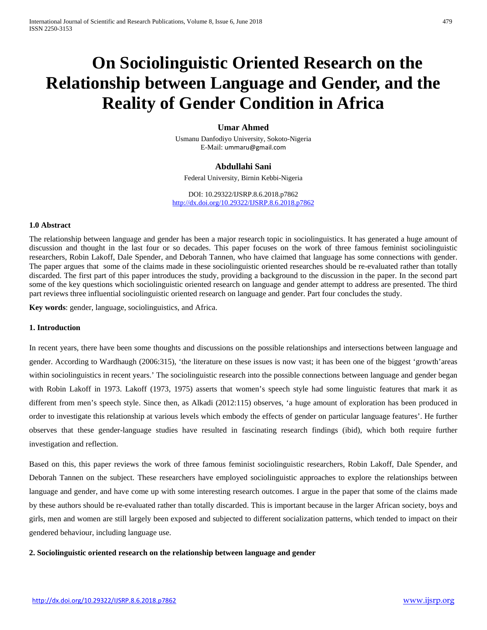# **On Sociolinguistic Oriented Research on the Relationship between Language and Gender, and the Reality of Gender Condition in Africa**

# **Umar Ahmed**

Usmanu Danfodiyo University, Sokoto-Nigeria E-Mail: [ummaru@gmail.com](mailto:ummaru@gmail.com)

# **Abdullahi Sani**

Federal University, Birnin Kebbi-Nigeria

DOI: 10.29322/IJSRP.8.6.2018.p7862 <http://dx.doi.org/10.29322/IJSRP.8.6.2018.p7862>

#### **1.0 Abstract**

The relationship between language and gender has been a major research topic in sociolinguistics. It has generated a huge amount of discussion and thought in the last four or so decades. This paper focuses on the work of three famous feminist sociolinguistic researchers, Robin Lakoff, Dale Spender, and Deborah Tannen, who have claimed that language has some connections with gender. The paper argues that some of the claims made in these sociolinguistic oriented researches should be re-evaluated rather than totally discarded. The first part of this paper introduces the study, providing a background to the discussion in the paper. In the second part some of the key questions which sociolinguistic oriented research on language and gender attempt to address are presented. The third part reviews three influential sociolinguistic oriented research on language and gender. Part four concludes the study.

**Key words**: gender, language, sociolinguistics, and Africa.

# **1. Introduction**

In recent years, there have been some thoughts and discussions on the possible relationships and intersections between language and gender. According to Wardhaugh (2006:315), 'the literature on these issues is now vast; it has been one of the biggest 'growth'areas within sociolinguistics in recent years.' The sociolinguistic research into the possible connections between language and gender began with Robin Lakoff in 1973. Lakoff (1973, 1975) asserts that women's speech style had some linguistic features that mark it as different from men's speech style. Since then, as Alkadi (2012:115) observes, 'a huge amount of exploration has been produced in order to investigate this relationship at various levels which embody the effects of gender on particular language features'. He further observes that these gender-language studies have resulted in fascinating research findings (ibid), which both require further investigation and reflection.

Based on this, this paper reviews the work of three famous feminist sociolinguistic researchers, Robin Lakoff, Dale Spender, and Deborah Tannen on the subject. These researchers have employed sociolinguistic approaches to explore the relationships between language and gender, and have come up with some interesting research outcomes. I argue in the paper that some of the claims made by these authors should be re-evaluated rather than totally discarded. This is important because in the larger African society, boys and girls, men and women are still largely been exposed and subjected to different socialization patterns, which tended to impact on their gendered behaviour, including language use.

#### <span id="page-0-0"></span>**2. Sociolinguistic oriented research on the relationship between language and gender**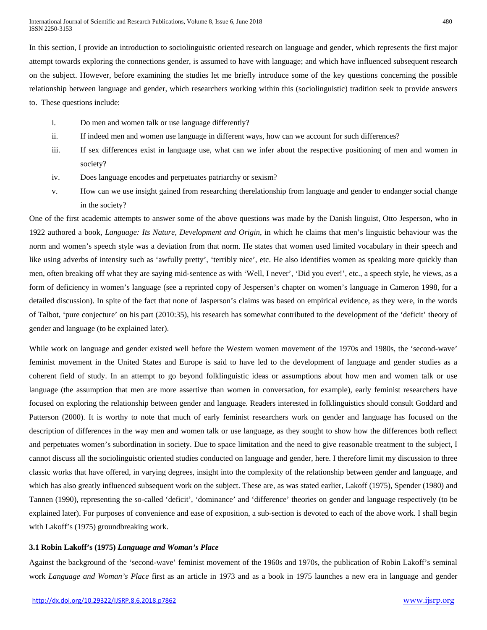In this section, I provide an introduction to sociolinguistic oriented research on language and gender, which represents the first major attempt towards exploring the connections gender, is assumed to have with language; and which have influenced subsequent research on the subject. However, before examining the studies let me briefly introduce some of the key questions concerning the possible relationship between language and gender, which researchers working within this (sociolinguistic) tradition seek to provide answers to. These questions include:

- i. Do men and women talk or use language differently?
- ii. If indeed men and women use language in different ways, how can we account for such differences?
- iii. If sex differences exist in language use, what can we infer about the respective positioning of men and women in society?
- iv. Does language encodes and perpetuates patriarchy or sexism?
- v. How can we use insight gained from researching therelationship from language and gender to endanger social change in the society?

One of the first academic attempts to answer some of the above questions was made by the Danish linguist, Otto Jesperson, who in 1922 authored a book, *Language: Its Nature, Development and Origin*, in which he claims that men's linguistic behaviour was the norm and women's speech style was a deviation from that norm. He states that women used limited vocabulary in their speech and like using adverbs of intensity such as 'awfully pretty', 'terribly nice', etc. He also identifies women as speaking more quickly than men, often breaking off what they are saying mid-sentence as with 'Well, I never', 'Did you ever!', etc., a speech style, he views, as a form of deficiency in women's language (see a reprinted copy of Jespersen's chapter on women's language in Cameron 1998, for a detailed discussion). In spite of the fact that none of Jasperson's claims was based on empirical evidence, as they were, in the words of Talbot, 'pure conjecture' on his part (2010:35), his research has somewhat contributed to the development of the 'deficit' theory of gender and language (to be explained later).

While work on language and gender existed well before the Western women movement of the 1970s and 1980s, the 'second-wave' feminist movement in the United States and Europe is said to have led to the development of language and gender studies as a coherent field of study. In an attempt to go beyond folklinguistic ideas or assumptions about how men and women talk or use language (the assumption that men are more assertive than women in conversation, for example), early feminist researchers have focused on exploring the relationship between gender and language. Readers interested in folklinguistics should consult Goddard and Patterson (2000). It is worthy to note that much of early feminist researchers work on gender and language has focused on the description of differences in the way men and women talk or use language, as they sought to show how the differences both reflect and perpetuates women's subordination in society. Due to space limitation and the need to give reasonable treatment to the subject, I cannot discuss all the sociolinguistic oriented studies conducted on language and gender, here. I therefore limit my discussion to three classic works that have offered, in varying degrees, insight into the complexity of the relationship between gender and language, and which has also greatly influenced subsequent work on the subject. These are, as was stated earlier, Lakoff (1975), Spender (1980) and Tannen (1990), representing the so-called 'deficit', 'dominance' and 'difference' theories on gender and language respectively (to be explained later). For purposes of convenience and ease of exposition, a sub-section is devoted to each of the above work. I shall begin with Lakoff's (1975) groundbreaking work.

#### **3.1 Robin Lakoff's (1975)** *Language and Woman's Place*

Against the background of the 'second-wave' feminist movement of the 1960s and 1970s, the publication of Robin Lakoff's seminal work *Language and Woman's Place* first as an article in 1973 and as a book in 1975 launches a new era in language and gender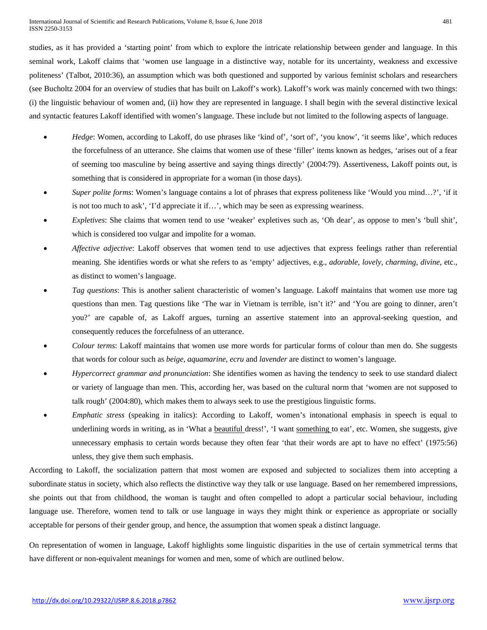studies, as it has provided a 'starting point' from which to explore the intricate relationship between gender and language. In this seminal work, Lakoff claims that 'women use language in a distinctive way, notable for its uncertainty, weakness and excessive politeness' (Talbot, 2010:36), an assumption which was both questioned and supported by various feminist scholars and researchers (see Bucholtz 2004 for an overview of studies that has built on Lakoff's work). Lakoff's work was mainly concerned with two things: (i) the linguistic behaviour of women and, (ii) how they are represented in language. I shall begin with the several distinctive lexical and syntactic features Lakoff identified with women's language. These include but not limited to the following aspects of language.

- *Hedge*: Women, according to Lakoff, do use phrases like 'kind of', 'sort of', 'you know', 'it seems like', which reduces the forcefulness of an utterance. She claims that women use of these 'filler' items known as hedges, 'arises out of a fear of seeming too masculine by being assertive and saying things directly' (2004:79). Assertiveness, Lakoff points out, is something that is considered in appropriate for a woman (in those days).
- *Super polite forms*: Women's language contains a lot of phrases that express politeness like 'Would you mind…?', 'if it is not too much to ask', 'I'd appreciate it if…', which may be seen as expressing weariness.
- *Expletives*: She claims that women tend to use 'weaker' expletives such as, 'Oh dear', as oppose to men's 'bull shit', which is considered too vulgar and impolite for a woman.
- *Affective adjective*: Lakoff observes that women tend to use adjectives that express feelings rather than referential meaning. She identifies words or what she refers to as 'empty' adjectives, e.g., *adorable*, *lovely*, *charming*, *divine*, etc., as distinct to women's language.
- *Tag questions*: This is another salient characteristic of women's language. Lakoff maintains that women use more tag questions than men. Tag questions like 'The war in Vietnam is terrible, isn't it?' and 'You are going to dinner, aren't you?' are capable of, as Lakoff argues, turning an assertive statement into an approval-seeking question, and consequently reduces the forcefulness of an utterance.
- *Colour terms*: Lakoff maintains that women use more words for particular forms of colour than men do. She suggests that words for colour such as *beige*, *aquamarine*, *ecru* and *lavender* are distinct to women's language.
- *Hypercorrect grammar and pronunciation*: She identifies women as having the tendency to seek to use standard dialect or variety of language than men. This, according her, was based on the cultural norm that 'women are not supposed to talk rough' (2004:80), which makes them to always seek to use the prestigious linguistic forms.
- *Emphatic stress* (speaking in italics): According to Lakoff, women's intonational emphasis in speech is equal to underlining words in writing, as in 'What a beautiful dress!', 'I want something to eat', etc. Women, she suggests, give unnecessary emphasis to certain words because they often fear 'that their words are apt to have no effect' (1975:56) unless, they give them such emphasis.

According to Lakoff, the socialization pattern that most women are exposed and subjected to socializes them into accepting a subordinate status in society, which also reflects the distinctive way they talk or use language. Based on her remembered impressions, she points out that from childhood, the woman is taught and often compelled to adopt a particular social behaviour, including language use. Therefore, women tend to talk or use language in ways they might think or experience as appropriate or socially acceptable for persons of their gender group, and hence, the assumption that women speak a distinct language.

On representation of women in language, Lakoff highlights some linguistic disparities in the use of certain symmetrical terms that have different or non-equivalent meanings for women and men, some of which are outlined below.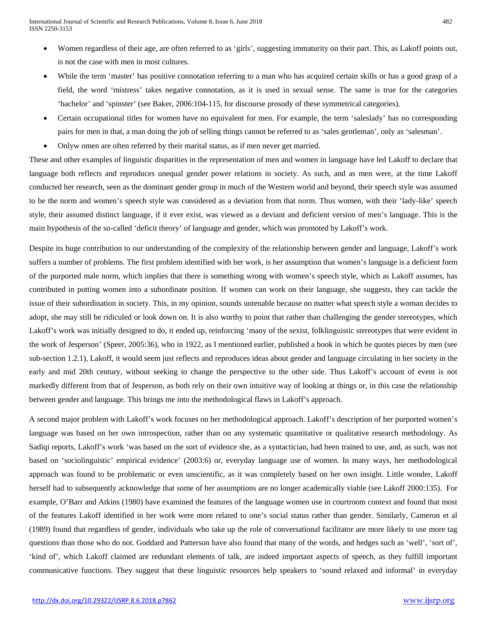- Women regardless of their age, are often referred to as 'girls', suggesting immaturity on their part. This, as Lakoff points out, is not the case with men in most cultures.
- While the term 'master' has positive connotation referring to a man who has acquired certain skills or has a good grasp of a field, the word 'mistress' takes negative connotation, as it is used in sexual sense. The same is true for the categories 'bachelor' and 'spinster' (see Baker, 2006:104-115, for discourse prosody of these symmetrical categories).
- Certain occupational titles for women have no equivalent for men. For example, the term 'saleslady' has no corresponding pairs for men in that, a man doing the job of selling things cannot be referred to as 'sales gentleman', only as 'salesman'.
- Onlyw omen are often referred by their marital status, as if men never get married.

These and other examples of linguistic disparities in the representation of men and women in language have led Lakoff to declare that language both reflects and reproduces unequal gender power relations in society. As such, and as men were, at the time Lakoff conducted her research, seen as the dominant gender group in much of the Western world and beyond, their speech style was assumed to be the norm and women's speech style was considered as a deviation from that norm. Thus women, with their 'lady-like' speech style, their assumed distinct language, if it ever exist, was viewed as a deviant and deficient version of men's language. This is the main hypothesis of the so-called 'deficit theory' of language and gender, which was promoted by Lakoff's work.

Despite its huge contribution to our understanding of the complexity of the relationship between gender and language, Lakoff's work suffers a number of problems. The first problem identified with her work, is her assumption that women's language is a deficient form of the purported male norm, which implies that there is something wrong with women's speech style, which as Lakoff assumes, has contributed in putting women into a subordinate position. If women can work on their language, she suggests, they can tackle the issue of their subordination in society. This, in my opinion, sounds untenable because no matter what speech style a woman decides to adopt, she may still be ridiculed or look down on. It is also worthy to point that rather than challenging the gender stereotypes, which Lakoff's work was initially designed to do, it ended up, reinforcing 'many of the sexist, folklinguistic stereotypes that were evident in the work of Jesperson' (Speer, 2005:36), who in 1922, as I mentioned earlier, published a book in which he quotes pieces by men (see sub-section 1.2.1), Lakoff, it would seem just reflects and reproduces ideas about gender and language circulating in her society in the early and mid 20th century, without seeking to change the perspective to the other side. Thus Lakoff's account of event is not markedly different from that of Jesperson, as both rely on their own intuitive way of looking at things or, in this case the relationship between gender and language. This brings me into the methodological flaws in Lakoff's approach.

A second major problem with Lakoff's work focuses on her methodological approach. Lakoff's description of her purported women's language was based on her own introspection, rather than on any systematic quantitative or qualitative research methodology. As Sadiqi reports, Lakoff's work 'was based on the sort of evidence she, as a syntactician, had been trained to use, and, as such, was not based on 'sociolinguistic' empirical evidence' (2003:6) or, everyday language use of women. In many ways, her methodological approach was found to be problematic or even unscientific, as it was completely based on her own insight. Little wonder, Lakoff herself had to subsequently acknowledge that some of her assumptions are no longer academically viable (see Lakoff 2000:135). For example, O'Barr and Atkins (1980) have examined the features of the language women use in courtroom context and found that most of the features Lakoff identified in her work were more related to one's social status rather than gender. Similarly, Cameron et al (1989) found that regardless of gender, individuals who take up the role of conversational facilitator are more likely to use more tag questions than those who do not. Goddard and Patterson have also found that many of the words, and hedges such as 'well', 'sort of', 'kind of', which Lakoff claimed are redundant elements of talk, are indeed important aspects of speech, as they fulfill important communicative functions. They suggest that these linguistic resources help speakers to 'sound relaxed and informal' in everyday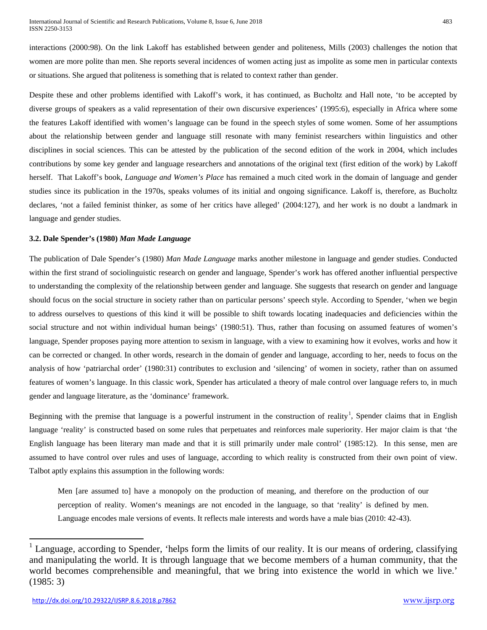interactions (2000:98). On the link Lakoff has established between gender and politeness, Mills (2003) challenges the notion that women are more polite than men. She reports several incidences of women acting just as impolite as some men in particular contexts or situations. She argued that politeness is something that is related to context rather than gender.

Despite these and other problems identified with Lakoff's work, it has continued, as Bucholtz and Hall note, 'to be accepted by diverse groups of speakers as a valid representation of their own discursive experiences' (1995:6), especially in Africa where some the features Lakoff identified with women's language can be found in the speech styles of some women. Some of her assumptions about the relationship between gender and language still resonate with many feminist researchers within linguistics and other disciplines in social sciences. This can be attested by the publication of the second edition of the work in 2004, which includes contributions by some key gender and language researchers and annotations of the original text (first edition of the work) by Lakoff herself. That Lakoff's book, *Language and Women's Place* has remained a much cited work in the domain of language and gender studies since its publication in the 1970s, speaks volumes of its initial and ongoing significance. Lakoff is, therefore, as Bucholtz declares, 'not a failed feminist thinker, as some of her critics have alleged' (2004:127), and her work is no doubt a landmark in language and gender studies.

# **3.2. Dale Spender's (1980)** *Man Made Language*

The publication of Dale Spender's (1980) *Man Made Language* marks another milestone in language and gender studies. Conducted within the first strand of sociolinguistic research on gender and language, Spender's work has offered another influential perspective to understanding the complexity of the relationship between gender and language. She suggests that research on gender and language should focus on the social structure in society rather than on particular persons' speech style. According to Spender, 'when we begin to address ourselves to questions of this kind it will be possible to shift towards locating inadequacies and deficiencies within the social structure and not within individual human beings' (1980:51). Thus, rather than focusing on assumed features of women's language, Spender proposes paying more attention to sexism in language, with a view to examining how it evolves, works and how it can be corrected or changed. In other words, research in the domain of gender and language, according to her, needs to focus on the analysis of how 'patriarchal order' (1980:31) contributes to exclusion and 'silencing' of women in society, rather than on assumed features of women's language. In this classic work, Spender has articulated a theory of male control over language refers to, in much gender and language literature, as the 'dominance' framework.

Beginning with the premise that language is a powerful instrument in the construction of reality<sup>[1](#page-0-0)</sup>, Spender claims that in English language 'reality' is constructed based on some rules that perpetuates and reinforces male superiority. Her major claim is that 'the English language has been literary man made and that it is still primarily under male control' (1985:12). In this sense, men are assumed to have control over rules and uses of language, according to which reality is constructed from their own point of view. Talbot aptly explains this assumption in the following words:

Men [are assumed to] have a monopoly on the production of meaning, and therefore on the production of our perception of reality. Women's meanings are not encoded in the language, so that 'reality' is defined by men. Language encodes male versions of events. It reflects male interests and words have a male bias (2010: 42-43).

Language, according to Spender, 'helps form the limits of our reality. It is our means of ordering, classifying and manipulating the world. It is through language that we become members of a human community, that the world becomes comprehensible and meaningful, that we bring into existence the world in which we live.' (1985: 3)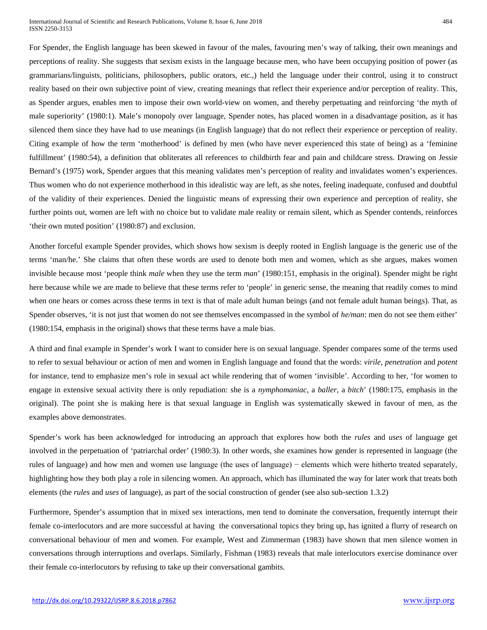For Spender, the English language has been skewed in favour of the males, favouring men's way of talking, their own meanings and perceptions of reality. She suggests that sexism exists in the language because men, who have been occupying position of power (as grammarians/linguists, politicians, philosophers, public orators, etc.,) held the language under their control, using it to construct reality based on their own subjective point of view, creating meanings that reflect their experience and/or perception of reality. This, as Spender argues, enables men to impose their own world-view on women, and thereby perpetuating and reinforcing 'the myth of male superiority' (1980:1). Male's monopoly over language, Spender notes, has placed women in a disadvantage position, as it has silenced them since they have had to use meanings (in English language) that do not reflect their experience or perception of reality. Citing example of how the term 'motherhood' is defined by men (who have never experienced this state of being) as a 'feminine fulfillment' (1980:54), a definition that obliterates all references to childbirth fear and pain and childcare stress. Drawing on Jessie Bernard's (1975) work, Spender argues that this meaning validates men's perception of reality and invalidates women's experiences. Thus women who do not experience motherhood in this idealistic way are left, as she notes, feeling inadequate, confused and doubtful of the validity of their experiences. Denied the linguistic means of expressing their own experience and perception of reality, she further points out, women are left with no choice but to validate male reality or remain silent, which as Spender contends, reinforces 'their own muted position' (1980:87) and exclusion.

Another forceful example Spender provides, which shows how sexism is deeply rooted in English language is the generic use of the terms 'man/he.' She claims that often these words are used to denote both men and women, which as she argues, makes women invisible because most 'people think *male* when they use the term *man*' (1980:151, emphasis in the original). Spender might be right here because while we are made to believe that these terms refer to 'people' in generic sense, the meaning that readily comes to mind when one hears or comes across these terms in text is that of male adult human beings (and not female adult human beings). That, as Spender observes, 'it is not just that women do not see themselves encompassed in the symbol of *he/man*: men do not see them either' (1980:154, emphasis in the original) shows that these terms have a male bias.

A third and final example in Spender's work I want to consider here is on sexual language. Spender compares some of the terms used to refer to sexual behaviour or action of men and women in English language and found that the words: *virile*, *penetration* and *potent* for instance, tend to emphasize men's role in sexual act while rendering that of women 'invisible'. According to her, 'for women to engage in extensive sexual activity there is only repudiation: she is a *nymphomaniac*, a *baller*, a *bitch*' (1980:175, emphasis in the original). The point she is making here is that sexual language in English was systematically skewed in favour of men, as the examples above demonstrates.

Spender's work has been acknowledged for introducing an approach that explores how both the *rules* and *uses* of language get involved in the perpetuation of 'patriarchal order' (1980:3). In other words, she examines how gender is represented in language (the rules of language) and how men and women use language (the uses of language) − elements which were hitherto treated separately, highlighting how they both play a role in silencing women. An approach, which has illuminated the way for later work that treats both elements (the *rules* and *uses* of language), as part of the social construction of gender (see also sub-section 1.3.2)

Furthermore, Spender's assumption that in mixed sex interactions, men tend to dominate the conversation, frequently interrupt their female co-interlocutors and are more successful at having the conversational topics they bring up, has ignited a flurry of research on conversational behaviour of men and women. For example, West and Zimmerman (1983) have shown that men silence women in conversations through interruptions and overlaps. Similarly, Fishman (1983) reveals that male interlocutors exercise dominance over their female co-interlocutors by refusing to take up their conversational gambits.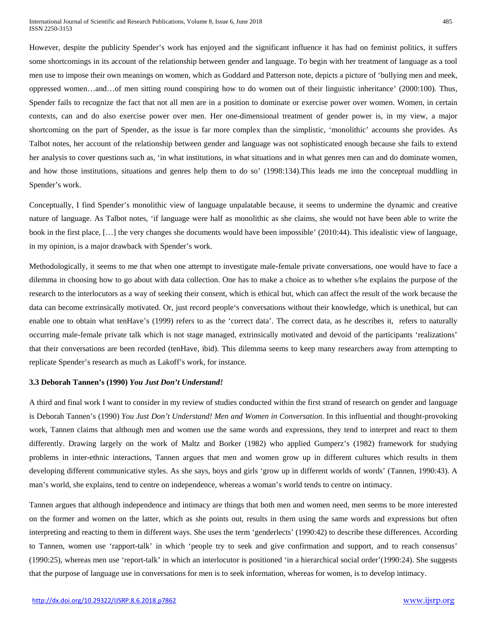However, despite the publicity Spender's work has enjoyed and the significant influence it has had on feminist politics, it suffers some shortcomings in its account of the relationship between gender and language. To begin with her treatment of language as a tool men use to impose their own meanings on women, which as Goddard and Patterson note, depicts a picture of 'bullying men and meek, oppressed women…and…of men sitting round conspiring how to do women out of their linguistic inheritance' (2000:100). Thus, Spender fails to recognize the fact that not all men are in a position to dominate or exercise power over women. Women, in certain contexts, can and do also exercise power over men. Her one-dimensional treatment of gender power is, in my view, a major shortcoming on the part of Spender, as the issue is far more complex than the simplistic, 'monolithic' accounts she provides. As Talbot notes, her account of the relationship between gender and language was not sophisticated enough because she fails to extend her analysis to cover questions such as, 'in what institutions, in what situations and in what genres men can and do dominate women, and how those institutions, situations and genres help them to do so' (1998:134).This leads me into the conceptual muddling in Spender's work.

Conceptually, I find Spender's monolithic view of language unpalatable because, it seems to undermine the dynamic and creative nature of language. As Talbot notes, 'if language were half as monolithic as she claims, she would not have been able to write the book in the first place, […] the very changes she documents would have been impossible' (2010:44). This idealistic view of language, in my opinion, is a major drawback with Spender's work.

Methodologically, it seems to me that when one attempt to investigate male-female private conversations, one would have to face a dilemma in choosing how to go about with data collection. One has to make a choice as to whether s/he explains the purpose of the research to the interlocutors as a way of seeking their consent, which is ethical but, which can affect the result of the work because the data can become extrinsically motivated. Or, just record people's conversations without their knowledge, which is unethical, but can enable one to obtain what tenHave's (1999) refers to as the 'correct data'. The correct data, as he describes it, refers to naturally occurring male-female private talk which is not stage managed, extrinsically motivated and devoid of the participants 'realizations' that their conversations are been recorded (tenHave, ibid). This dilemma seems to keep many researchers away from attempting to replicate Spender's research as much as Lakoff's work, for instance.

#### **3.3 Deborah Tannen's (1990)** *You Just Don't Understand!*

A third and final work I want to consider in my review of studies conducted within the first strand of research on gender and language is Deborah Tannen's (1990) *You Just Don't Understand! Men and Women in Conversation*. In this influential and thought-provoking work, Tannen claims that although men and women use the same words and expressions, they tend to interpret and react to them differently. Drawing largely on the work of Maltz and Borker (1982) who applied Gumperz's (1982) framework for studying problems in inter-ethnic interactions, Tannen argues that men and women grow up in different cultures which results in them developing different communicative styles. As she says, boys and girls 'grow up in different worlds of words' (Tannen, 1990:43). A man's world, she explains, tend to centre on independence, whereas a woman's world tends to centre on intimacy.

Tannen argues that although independence and intimacy are things that both men and women need, men seems to be more interested on the former and women on the latter, which as she points out, results in them using the same words and expressions but often interpreting and reacting to them in different ways. She uses the term 'genderlects' (1990:42) to describe these differences. According to Tannen, women use 'rapport-talk' in which 'people try to seek and give confirmation and support, and to reach consensus' (1990:25), whereas men use 'report-talk' in which an interlocutor is positioned 'in a hierarchical social order'(1990:24). She suggests that the purpose of language use in conversations for men is to seek information, whereas for women, is to develop intimacy.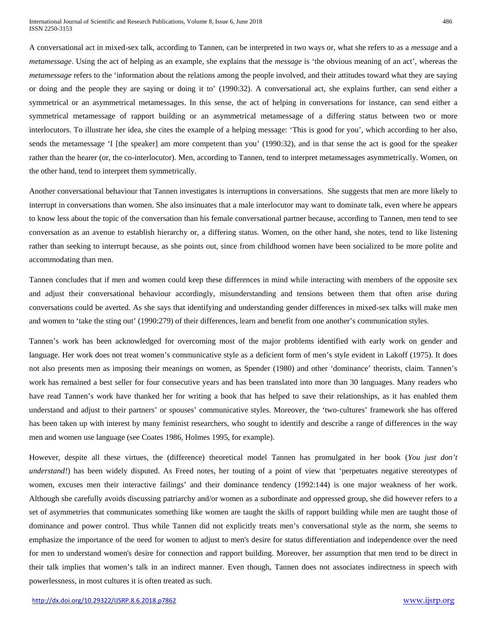A conversational act in mixed-sex talk, according to Tannen, can be interpreted in two ways or, what she refers to as a *message* and a *metamessage*. Using the act of helping as an example, she explains that the *message* is 'the obvious meaning of an act', whereas the *metamessage* refers to the 'information about the relations among the people involved, and their attitudes toward what they are saying or doing and the people they are saying or doing it to' (1990:32). A conversational act, she explains further, can send either a symmetrical or an asymmetrical metamessages. In this sense, the act of helping in conversations for instance, can send either a symmetrical metamessage of rapport building or an asymmetrical metamessage of a differing status between two or more interlocutors. To illustrate her idea, she cites the example of a helping message: 'This is good for you', which according to her also, sends the metamessage 'I [the speaker] am more competent than you' (1990:32), and in that sense the act is good for the speaker rather than the hearer (or, the co-interlocutor). Men, according to Tannen, tend to interpret metamessages asymmetrically. Women, on the other hand, tend to interpret them symmetrically.

Another conversational behaviour that Tannen investigates is interruptions in conversations. She suggests that men are more likely to interrupt in conversations than women. She also insinuates that a male interlocutor may want to dominate talk, even where he appears to know less about the topic of the conversation than his female conversational partner because, according to Tannen, men tend to see conversation as an avenue to establish hierarchy or, a differing status. Women, on the other hand, she notes, tend to like listening rather than seeking to interrupt because, as she points out, since from childhood women have been socialized to be more polite and accommodating than men.

Tannen concludes that if men and women could keep these differences in mind while interacting with members of the opposite sex and adjust their conversational behaviour accordingly, misunderstanding and tensions between them that often arise during conversations could be averted. As she says that identifying and understanding gender differences in mixed-sex talks will make men and women to 'take the sting out' (1990:279) of their differences, learn and benefit from one another's communication styles.

Tannen's work has been acknowledged for overcoming most of the major problems identified with early work on gender and language. Her work does not treat women's communicative style as a deficient form of men's style evident in Lakoff (1975). It does not also presents men as imposing their meanings on women, as Spender (1980) and other 'dominance' theorists, claim. Tannen's work has remained a best seller for four consecutive years and has been translated into more than 30 languages. Many readers who have read Tannen's work have thanked her for writing a book that has helped to save their relationships, as it has enabled them understand and adjust to their partners' or spouses' communicative styles. Moreover, the 'two-cultures' framework she has offered has been taken up with interest by many feminist researchers, who sought to identify and describe a range of differences in the way men and women use language (see Coates 1986, Holmes 1995, for example).

However, despite all these virtues, the (difference) theoretical model Tannen has promulgated in her book (*You just don't understand!*) has been widely disputed. As Freed notes, her touting of a point of view that 'perpetuates negative stereotypes of women, excuses men their interactive failings' and their dominance tendency (1992:144) is one major weakness of her work. Although she carefully avoids discussing patriarchy and/or women as a subordinate and oppressed group, she did however refers to a set of asymmetries that communicates something like women are taught the skills of rapport building while men are taught those of dominance and power control. Thus while Tannen did not explicitly treats men's conversational style as the norm, she seems to emphasize the importance of the need for women to adjust to men's desire for status differentiation and independence over the need for men to understand women's desire for connection and rapport building. Moreover, her assumption that men tend to be direct in their talk implies that women's talk in an indirect manner. Even though, Tannen does not associates indirectness in speech with powerlessness, in most cultures it is often treated as such.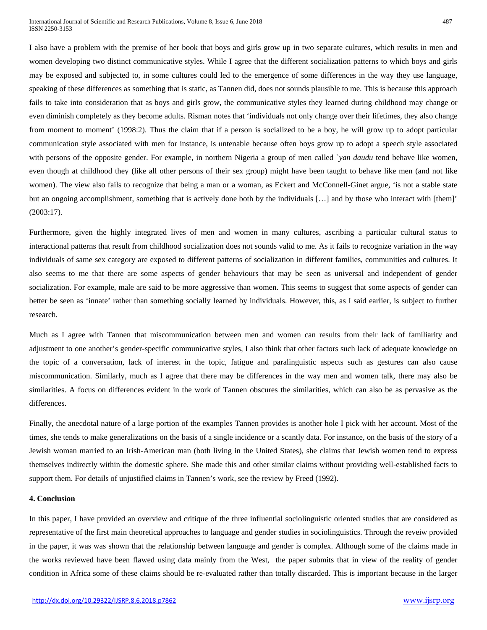I also have a problem with the premise of her book that boys and girls grow up in two separate cultures, which results in men and women developing two distinct communicative styles. While I agree that the different socialization patterns to which boys and girls may be exposed and subjected to, in some cultures could led to the emergence of some differences in the way they use language, speaking of these differences as something that is static, as Tannen did, does not sounds plausible to me. This is because this approach fails to take into consideration that as boys and girls grow, the communicative styles they learned during childhood may change or even diminish completely as they become adults. Risman notes that 'individuals not only change over their lifetimes, they also change from moment to moment' (1998:2). Thus the claim that if a person is socialized to be a boy, he will grow up to adopt particular communication style associated with men for instance, is untenable because often boys grow up to adopt a speech style associated with persons of the opposite gender. For example, in northern Nigeria a group of men called *`yan daudu* tend behave like women, even though at childhood they (like all other persons of their sex group) might have been taught to behave like men (and not like women). The view also fails to recognize that being a man or a woman, as Eckert and McConnell-Ginet argue, 'is not a stable state but an ongoing accomplishment, something that is actively done both by the individuals […] and by those who interact with [them]' (2003:17).

Furthermore, given the highly integrated lives of men and women in many cultures, ascribing a particular cultural status to interactional patterns that result from childhood socialization does not sounds valid to me. As it fails to recognize variation in the way individuals of same sex category are exposed to different patterns of socialization in different families, communities and cultures. It also seems to me that there are some aspects of gender behaviours that may be seen as universal and independent of gender socialization. For example, male are said to be more aggressive than women. This seems to suggest that some aspects of gender can better be seen as 'innate' rather than something socially learned by individuals. However, this, as I said earlier, is subject to further research.

Much as I agree with Tannen that miscommunication between men and women can results from their lack of familiarity and adjustment to one another's gender-specific communicative styles, I also think that other factors such lack of adequate knowledge on the topic of a conversation, lack of interest in the topic, fatigue and paralinguistic aspects such as gestures can also cause miscommunication. Similarly, much as I agree that there may be differences in the way men and women talk, there may also be similarities. A focus on differences evident in the work of Tannen obscures the similarities, which can also be as pervasive as the differences.

Finally, the anecdotal nature of a large portion of the examples Tannen provides is another hole I pick with her account. Most of the times, she tends to make generalizations on the basis of a single incidence or a scantly data. For instance, on the basis of the story of a Jewish woman married to an Irish-American man (both living in the United States), she claims that Jewish women tend to express themselves indirectly within the domestic sphere. She made this and other similar claims without providing well-established facts to support them. For details of unjustified claims in Tannen's work, see the review by Freed (1992).

#### **4. Conclusion**

In this paper, I have provided an overview and critique of the three influential sociolinguistic oriented studies that are considered as representative of the first main theoretical approaches to language and gender studies in sociolinguistics. Through the reveiw provided in the paper, it was was shown that the relationship between language and gender is complex. Although some of the claims made in the works reviewed have been flawed using data mainly from the West, the paper submits that in view of the reality of gender condition in Africa some of these claims should be re-evaluated rather than totally discarded. This is important because in the larger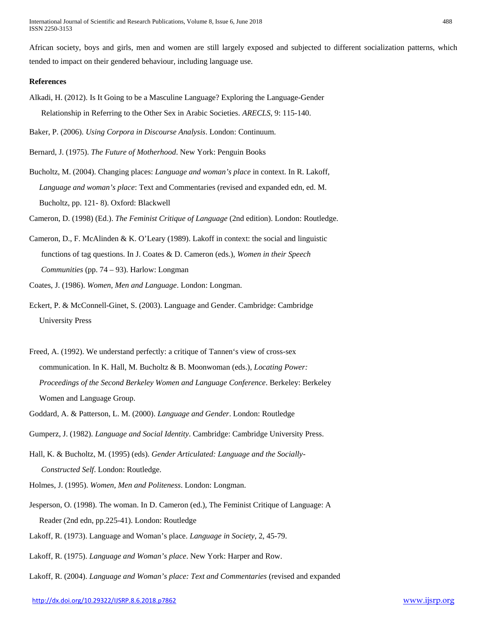African society, boys and girls, men and women are still largely exposed and subjected to different socialization patterns, which tended to impact on their gendered behaviour, including language use.

#### **References**

Alkadi, H. (2012). Is It Going to be a Masculine Language? Exploring the Language-Gender Relationship in Referring to the Other Sex in Arabic Societies. *ARECLS*, 9: 115-140.

Baker, P. (2006). *Using Corpora in Discourse Analysis*. London: Continuum.

Bernard, J. (1975). *The Future of Motherhood*. New York: Penguin Books

Bucholtz, M. (2004). Changing places: *Language and woman's place* in context. In R. Lakoff, *Language and woman's place*: Text and Commentaries (revised and expanded edn, ed. M. Bucholtz, pp. 121- 8). Oxford: Blackwell

Cameron, D. (1998) (Ed.). *The Feminist Critique of Language* (2nd edition). London: Routledge.

- Cameron, D., F. McAlinden & K. O'Leary (1989). Lakoff in context: the social and linguistic functions of tag questions. In J. Coates & D. Cameron (eds.), *Women in their Speech Communities* (pp. 74 – 93). Harlow: Longman
- Coates, J. (1986). *Women, Men and Language*. London: Longman.
- Eckert, P. & McConnell-Ginet, S. (2003). Language and Gender. Cambridge: Cambridge University Press
- Freed, A. (1992). We understand perfectly: a critique of Tannen's view of cross-sex communication. In K. Hall, M. Bucholtz & B. Moonwoman (eds.), *Locating Power: Proceedings of the Second Berkeley Women and Language Conference*. Berkeley: Berkeley Women and Language Group.
- Goddard, A. & Patterson, L. M. (2000). *Language and Gender*. London: Routledge
- Gumperz, J. (1982). *Language and Social Identity*. Cambridge: Cambridge University Press.
- Hall, K. & Bucholtz, M. (1995) (eds). *Gender Articulated: Language and the Socially- Constructed Self*. London: Routledge.
- Holmes, J. (1995). *Women, Men and Politeness*. London: Longman.
- Jesperson, O. (1998). The woman. In D. Cameron (ed.), The Feminist Critique of Language: A Reader (2nd edn, pp.225-41). London: Routledge
- Lakoff, R. (1973). Language and Woman's place. *Language in Society*, 2, 45-79.
- Lakoff, R. (1975). *Language and Woman's place*. New York: Harper and Row.
- Lakoff, R. (2004). *Language and Woman's place: Text and Commentaries* (revised and expanded